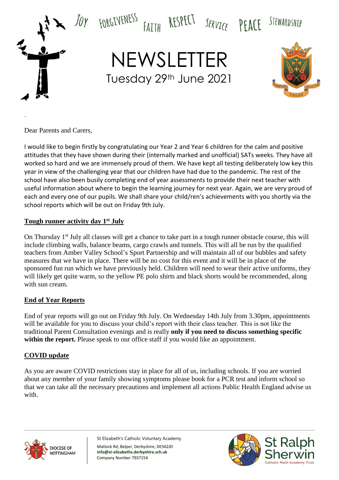

Dear Parents and Carers,

.

I would like to begin firstly by congratulating our Year 2 and Year 6 children for the calm and positive attitudes that they have shown during their (internally marked and unofficial) SATs weeks. They have all worked so hard and we are immensely proud of them. We have kept all testing deliberately low key this year in view of the challenging year that our children have had due to the pandemic. The rest of the school have also been busily completing end of year assessments to provide their next teacher with useful information about where to begin the learning journey for next year. Again, we are very proud of each and every one of our pupils. We shall share your child/ren's achievements with you shortly via the school reports which will be out on Friday 9th July.

## **Tough runner activity day 1st July**

On Thursday 1<sup>st</sup> July all classes will get a chance to take part in a tough runner obstacle course, this will include climbing walls, balance beams, cargo crawls and tunnels. This will all be run by the qualified teachers from Amber Valley School's Sport Partnership and will maintain all of our bubbles and safety measures that we have in place. There will be no cost for this event and it will be in place of the sponsored fun run which we have previously held. Children will need to wear their active uniforms, they will likely get quite warm, so the yellow PE polo shirts and black shorts would be recommended, along with sun cream.

#### **End of Year Reports**

End of year reports will go out on Friday 9th July. On Wednesday 14th July from 3.30pm, appointments will be available for you to discuss your child's report with their class teacher. This is not like the traditional Parent Consultation evenings and is really **only if you need to discuss something specific**  within the report. Please speak to our office staff if you would like an appointment.

#### **COVID update**

As you are aware COVID restrictions stay in place for all of us, including schools. If you are worried about any member of your family showing symptoms please book for a PCR test and inform school so that we can take all the necessary precautions and implement all actions Public Health England advise us with.



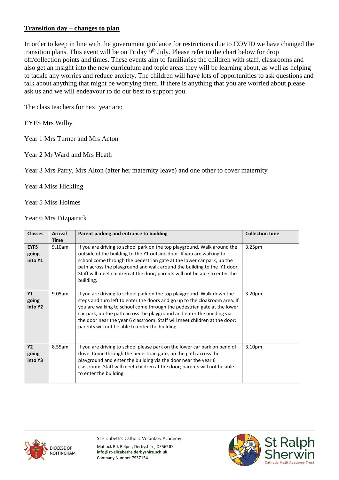## **Transition day – changes to plan**

In order to keep in line with the government guidance for restrictions due to COVID we have changed the transition plans. This event will be on Friday 9<sup>th</sup> July. Please refer to the chart below for drop off/collection points and times. These events aim to familiarise the children with staff, classrooms and also get an insight into the new curriculum and topic areas they will be learning about, as well as helping to tackle any worries and reduce anxiety. The children will have lots of opportunities to ask questions and talk about anything that might be worrying them. If there is anything that you are worried about please ask us and we will endeavour to do our best to support you.

The class teachers for next year are:

EYFS Mrs Wilby

Year 1 Mrs Turner and Mrs Acton

Year 2 Mr Ward and Mrs Heath

Year 3 Mrs Parry, Mrs Alton (after her maternity leave) and one other to cover maternity

Year 4 Miss Hickling

Year 5 Miss Holmes

Year 6 Mrs Fitzpatrick

| <b>Classes</b>                  | <b>Arrival</b><br><b>Time</b> | Parent parking and entrance to building                                                                                                                                                                                                                                                                                                                                                                                                   | <b>Collection time</b> |
|---------------------------------|-------------------------------|-------------------------------------------------------------------------------------------------------------------------------------------------------------------------------------------------------------------------------------------------------------------------------------------------------------------------------------------------------------------------------------------------------------------------------------------|------------------------|
| <b>EYFS</b><br>going<br>into Y1 | 9.10am                        | If you are driving to school park on the top playground. Walk around the<br>outside of the building to the Y1 outside door. If you are walking to<br>school come through the pedestrian gate at the lower car park, up the<br>path across the playground and walk around the building to the Y1 door.<br>Staff will meet children at the door; parents will not be able to enter the<br>building.                                         | 3.25 <sub>pm</sub>     |
| Y1<br>going<br>into Y2          | 9.05am                        | If you are driving to school park on the top playground. Walk down the<br>steps and turn left to enter the doors and go up to the cloakroom area. If<br>you are walking to school come through the pedestrian gate at the lower<br>car park, up the path across the playground and enter the building via<br>the door near the year 6 classroom. Staff will meet children at the door;<br>parents will not be able to enter the building. | 3.20pm                 |
| <b>Y2</b><br>going<br>into Y3   | 8.55am                        | If you are driving to school please park on the lower car park on bend of<br>drive. Come through the pedestrian gate, up the path across the<br>playground and enter the building via the door near the year 6<br>classroom. Staff will meet children at the door; parents will not be able<br>to enter the building.                                                                                                                     | 3.10pm                 |



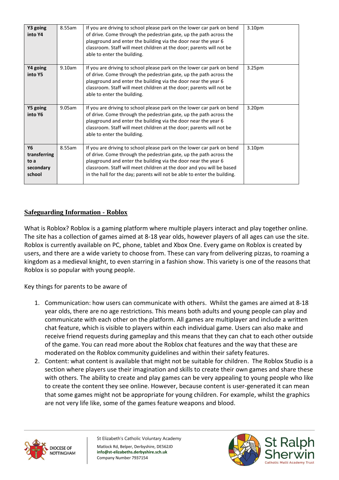| Y3 going<br>into Y4                                      | 8.55am    | If you are driving to school please park on the lower car park on bend<br>of drive. Come through the pedestrian gate, up the path across the<br>playground and enter the building via the door near the year 6<br>classroom. Staff will meet children at the door; parents will not be<br>able to enter the building.                                               | 3.10pm |
|----------------------------------------------------------|-----------|---------------------------------------------------------------------------------------------------------------------------------------------------------------------------------------------------------------------------------------------------------------------------------------------------------------------------------------------------------------------|--------|
| Y4 going<br>into Y5                                      | 9.10am    | If you are driving to school please park on the lower car park on bend<br>of drive. Come through the pedestrian gate, up the path across the<br>playground and enter the building via the door near the year 6<br>classroom. Staff will meet children at the door; parents will not be<br>able to enter the building.                                               | 3.25pm |
| Y5 going<br>into Y6                                      | $9.05$ am | If you are driving to school please park on the lower car park on bend<br>of drive. Come through the pedestrian gate, up the path across the<br>playground and enter the building via the door near the year 6<br>classroom. Staff will meet children at the door; parents will not be<br>able to enter the building.                                               | 3.20pm |
| <b>Y6</b><br>transferring<br>to a<br>secondary<br>school | 8.55am    | If you are driving to school please park on the lower car park on bend<br>of drive. Come through the pedestrian gate, up the path across the<br>playground and enter the building via the door near the year 6<br>classroom. Staff will meet children at the door and you will be based<br>in the hall for the day; parents will not be able to enter the building. | 3.10pm |

# **Safeguarding Information - Roblox**

What is Roblox? Roblox is a gaming platform where multiple players interact and play together online. The site has a collection of games aimed at 8-18 year olds, however players of all ages can use the site. Roblox is currently available on PC, phone, tablet and Xbox One. Every game on Roblox is created by users, and there are a wide variety to choose from. These can vary from delivering pizzas, to roaming a kingdom as a medieval knight, to even starring in a fashion show. This variety is one of the reasons that Roblox is so popular with young people.

Key things for parents to be aware of

- 1. Communication: how users can communicate with others. Whilst the games are aimed at 8-18 year olds, there are no age restrictions. This means both adults and young people can play and communicate with each other on the platform. All games are multiplayer and include a written chat feature, which is visible to players within each individual game. Users can also make and receive friend requests during gameplay and this means that they can chat to each other outside of the game. You can read more about the Roblox chat features and the way that these are moderated on the Roblox community guidelines and within their safety features.
- 2. Content: what content is available that might not be suitable for children. The Roblox Studio is a section where players use their imagination and skills to create their own games and share these with others. The ability to create and play games can be very appealing to young people who like to create the content they see online. However, because content is user-generated it can mean that some games might not be appropriate for young children. For example, whilst the graphics are not very life like, some of the games feature weapons and blood.



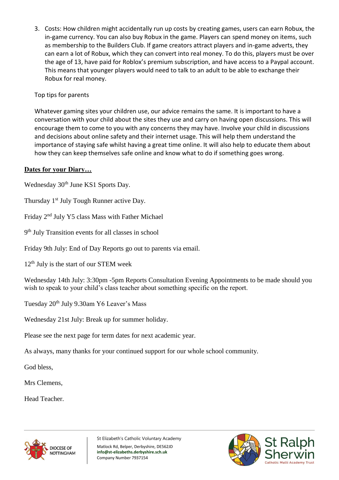3. Costs: How children might accidentally run up costs by creating games, users can earn Robux, the in-game currency. You can also buy Robux in the game. Players can spend money on items, such as membership to the Builders Club. If game creators attract players and in-game adverts, they can earn a lot of Robux, which they can convert into real money. To do this, players must be over the age of 13, have paid for Roblox's premium subscription, and have access to a Paypal account. This means that younger players would need to talk to an adult to be able to exchange their Robux for real money.

# Top tips for parents

Whatever gaming sites your children use, our advice remains the same. It is important to have a conversation with your child about the sites they use and carry on having open discussions. This will encourage them to come to you with any concerns they may have. Involve your child in discussions and decisions about online safety and their internet usage. This will help them understand the importance of staying safe whilst having a great time online. It will also help to educate them about how they can keep themselves safe online and know what to do if something goes wrong.

## **Dates for your Diary…**

Wednesday 30<sup>th</sup> June KS1 Sports Day.

Thursday 1<sup>st</sup> July Tough Runner active Day.

Friday 2nd July Y5 class Mass with Father Michael

9<sup>th</sup> July Transition events for all classes in school

Friday 9th July: End of Day Reports go out to parents via email.

 $12<sup>th</sup>$  July is the start of our STEM week

Wednesday 14th July: 3:30pm -5pm Reports Consultation Evening Appointments to be made should you wish to speak to your child's class teacher about something specific on the report.

Tuesday 20<sup>th</sup> July 9.30am Y6 Leaver's Mass

Wednesday 21st July: Break up for summer holiday.

Please see the next page for term dates for next academic year.

As always, many thanks for your continued support for our whole school community.

God bless,

Mrs Clemens,

Head Teacher.